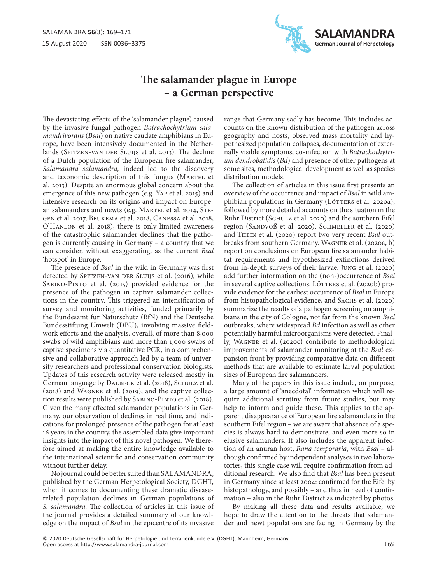

## **The salamander plague in Europe – a German perspective**

The devastating effects of the 'salamander plague', caused by the invasive fungal pathogen *Batrachochytrium salamandrivorans* (*Bsal*) on native caudate amphibians in Europe, have been intensively documented in the Netherlands (SPITZEN-VAN DER SLUIJS et al. 2013). The decline of a Dutch population of the European fire salamander, *Salamandra salamandra,* indeed led to the discovery and taxonomic description of this fungus (Martel et al. 2013). Despite an enormous global concern about the emergence of this new pathogen (e.g. Yap et al. 2015) and intensive research on its origins and impact on European salamanders and newts (e.g. MARTEL et al. 2014, STEgen et al. 2017, Beukema et al. 2018, Canessa et al. 2018, O'HANLON et al. 2018), there is only limited awareness of the catastrophic salamander declines that the pathogen is currently causing in Germany – a country that we can consider, without exaggerating, as the current *Bsal* 'hotspot' in Europe.

The presence of *Bsal* in the wild in Germany was first detected by SPITZEN-VAN DER SLUIJS et al. (2016), while Sabino-Pinto et al. (2015) provided evidence for the presence of the pathogen in captive salamander collections in the country. This triggered an intensification of survey and monitoring activities, funded primarily by the Bundesamt für Naturschutz (BfN) and the Deutsche Bundesstiftung Umwelt (DBU), involving massive fieldwork efforts and the analysis, overall, of more than 8,000 swabs of wild amphibians and more than 1,000 swabs of captive specimens via quantitative PCR, in a comprehensive and collaborative approach led by a team of university researchers and professional conservation biologists. Updates of this research activity were released mostly in German language by DALBECK et al. (2018), SCHULZ et al. (2018) and Wagner et al. (2019), and the captive collection results were published by Sabino-Pinto et al. (2018). Given the many affected salamander populations in Germany, our observation of declines in real time, and indications for prolonged presence of the pathogen for at least 16 years in the country, the assembled data give important insights into the impact of this novel pathogen. We therefore aimed at making the entire knowledge available to the international scientific and conservation community without further delay.

No journal could be better suited than SALAMANDRA, published by the German Herpetological Society, DGHT, when it comes to documenting these dramatic diseaserelated population declines in German populations of *S. salamandra.* The collection of articles in this issue of the journal provides a detailed summary of our knowledge on the impact of *Bsal* in the epicentre of its invasive

range that Germany sadly has become. This includes accounts on the known distribution of the pathogen across geography and hosts, observed mass mortality and hypothesized population collapses, documentation of externally visible symptoms, co-infection with *Batrachochytrium dendrobatidis* (*Bd*) and presence of other pathogens at some sites, methodological development as well as species distribution models.

The collection of articles in this issue first presents an overview of the occurrence and impact of *Bsal* in wild amphibian populations in Germany (LÖTTERS et al. 2020a), followed by more detailed accounts on the situation in the Ruhr District (SCHULZ et al. 2020) and the southern Eifel region (SANDVOß et al. 2020). SCHMELLER et al. (2020) and Thein et al. (2020) report two very recent *Bsal* outbreaks from southern Germany. Wagner et al. (2020a, b) report on conclusions on European fire salamander habitat requirements and hypothesized extinctions derived from in-depth surveys of their larvae. Jung et al. (2020) add further information on the (non-)occurrence of *Bsal* in several captive collections. LÖTTERS et al. (2020b) provide evidence for the earliest occurrence of *Bsal* in Europe from histopathological evidence, and SACHS et al. (2020) summarize the results of a pathogen screening on amphibians in the city of Cologne, not far from the known *Bsal* outbreaks, where widespread *Bd* infection as well as other potentially harmful microorganisms were detected. Finally, Wagner et al. (2020c) contribute to methodological improvements of salamander monitoring at the *Bsal* expansion front by providing comparative data on different methods that are available to estimate larval population sizes of European fire salamanders.

Many of the papers in this issue include, on purpose, a large amount of 'anecdotal' information which will require additional scrutiny from future studies, but may help to inform and guide these. This applies to the apparent disappearance of European fire salamanders in the southern Eifel region – we are aware that absence of a species is always hard to demonstrate, and even more so in elusive salamanders. It also includes the apparent infection of an anuran host, *Rana temporaria*, with *Bsal* – although confirmed by independent analyses in two laboratories, this single case will require confirmation from additional research. We also find that *Bsal* has been present in Germany since at least 2004: confirmed for the Eifel by histopathology, and possibly – and thus in need of confirmation – also in the Ruhr District as indicated by photos.

By making all these data and results available, we hope to draw the attention to the threats that salamander and newt populations are facing in Germany by the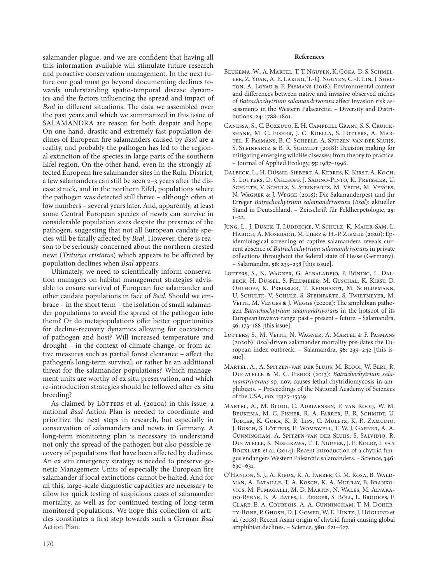salamander plague, and we are confident that having all this information available will stimulate future research and proactive conservation management. In the next future our goal must go beyond documenting declines towards understanding spatio-temporal disease dynamics and the factors influencing the spread and impact of *Bsal* in different situations. The data we assembled over the past years and which we summarized in this issue of SALAMANDRA are reason for both despair and hope. On one hand, drastic and extremely fast population declines of European fire salamanders caused by *Bsal* are a reality, and probably the pathogen has led to the regional extinction of the species in large parts of the southern Eifel region. On the other hand, even in the strongly affected European fire salamander sites in the Ruhr District, a few salamanders can still be seen 2–3 years after the disease struck, and in the northern Eifel, populations where the pathogen was detected still thrive – although often at low numbers – several years later. And, apparently, at least some Central European species of newts can survive in considerable population sizes despite the presence of the pathogen, suggesting that not all European caudate species will be fatally affected by *Bsal*. However, there is reason to be seriously concerned about the northern crested newt (*Triturus cristatus*) which appears to be affected by population declines when *Bsal* appears.

Ultimately, we need to scientifically inform conservation managers on habitat management strategies advisable to ensure survival of European fire salamander and other caudate populations in face of *Bsal*. Should we embrace – in the short term – the isolation of small salamander populations to avoid the spread of the pathogen into them? Or do metapopulations offer better opportunities for decline-recovery dynamics allowing for coexistence of pathogen and host? Will increased temperature and drought – in the context of climate change, or from active measures such as partial forest clearance – affect the pathogen's long-term survival, or rather be an additional threat for the salamander populations? Which management units are worthy of ex situ preservation, and which re-introduction strategies should be followed after ex situ breeding?

As claimed by LÖTTERS et al. (2020a) in this issue, a national *Bsal* Action Plan is needed to coordinate and prioritize the next steps in research, but especially in conservation of salamanders and newts in Germany. A long-term monitoring plan is necessary to understand not only the spread of the pathogen but also possible recovery of populations that have been affected by declines. An ex situ emergency strategy is needed to preserve genetic Management Units of especially the European fire salamander if local extinctions cannot be halted. And for all this, large-scale diagnostic capacities are necessary to allow for quick testing of suspicious cases of salamander mortality, as well as for continued testing of long-term monitored populations. We hope this collection of articles constitutes a first step towards such a German *Bsal* Action Plan.

## **References**

- Beukema, W., A. Martel, T. T. Nguyen, K. Goka, D. S. Schmeller, Z. Yuan, A. E. Laking, T.-Q. Nguyen, C.-F. Lin, J. Shelton, A. Loyau & F. Pasmans (2018): Environmental context and differences between native and invasive observed niches of *Batrachochytrium salamandrivorans* affect invasion risk assessments in the Western Palaearctic. – Diversity and Distributions, **24**: 1788–1801.
- Canessa, S., C. Bozzuto, E. H. Campbell Grant, S. S. Cruickshank, M. C. Fisher, J. C. Koella, S. Lötters, A. Martel, F. Pasmans, B. C. Scheele, A. Spitzen-van der Sluijs, S. STEINFARTZ & B. R. SCHMIDT (2018): Decision making for mitigating emerging wildlife diseases: from theory to practice. – Journal of Applied Ecology, **55**: 1987–1996.
- Dalbeck, L., H. Düssel-Siebert, A. Kerres, K. Kirst, A. Koch, S. Lötters, D. Ohlhoff, J. Sabino-Pinto, K. Preissler, U. SCHULTE, V. SCHULZ, S. STEINFARTZ, M. VEITH, M. VENCES, N. Wagner & J. Wegge (2018): Die Salamanderpest und ihr Erreger *Batrachochytrium salamandrivorans* (*Bsal*): aktueller Stand in Deutschland. – Zeitschrift für Feldherpetologie, **25**:  $1 - 22$ .
- Jung, L., J. Dusek, T. Lüddecke, V. Schulz, K. Maier-Sam, L. Habich, A. Mosebach, M. Lierz & H.-P. Ziemek (2020): Epidemiological screening of captive salamanders reveals current absence of *Batrachochytrium salamandrivorans* in private collections throughout the federal state of Hesse (Germany). – Salamandra, **56**: 233–238 [this issue].
- Lötters, S., N. Wagner, G. Albaladejo, P. Böning, L. Dalbeck, H. Düssel, S. Feldmeier, M. Guschal, K. Kirst, D. Ohlhoff, K. Preissler, T. Reinhardt, M. Schlüpmann, U. Schulte, V. Schulz, S. Steinfartz, S. Twietmeyer, M. VEITH, M. VENCES & J. WEGGE (2020a): The amphibian pathogen *Batrachochytrium salamandrivorans* in the hotspot of its European invasive range: past – present – future. – Salamandra, **56**: 173–188 [this issue].
- Lötters, S., M. Veith, N. Wagner, A. Martel & F. Pasmans (2020b): *Bsal*-driven salamander mortality pre-dates the European index outbreak. – Salamandra, **56**: 239–242 [this issue].
- Martel, A., A. Spitzen-van der Sluijs, M. Blooi, W. Bert, R. Ducatelle & M. C. Fisher (2013): *Batrachochytrium salamandrivorans* sp. nov. causes lethal chytridiomycosis in amphibians. – Proceedings of the National Academy of Sciences of the USA, **110**: 15325–15329.
- Martel, A., M. Blooi, C. Adriaensen, P. van Rooij, W. M. Beukema, M. C. Fisher, R. A. Farrer, B. R. Schmidt, U. Tobler, K. Goka, K. R. Lips, C. Muletz, K. R. Zamudio, J. Bosch, S. Lötters, E. Wombwell, T. W. J. Garner, A. A. Cunningham, A. Spitzen-van der Sluijs, S. Salvidio, R. Ducatelle, K. Nishikawa, T. T. Nguyen, J. E. Kolby, I. van BOCXLAER et al. (2014): Recent introduction of a chytrid fungus endangers Western Palearctic salamanders. – Science, **346**: 630–631.
- O'Hanlon, S. J., A. Rieux, R. A. Farrer, G. M. Rosa, B. Waldman, A. Bataille, T. A. Kosch, K. A. Murray, B. Brankovics, M. Fumagalli, M. D. Martin, N. Wales, M. Alvarado-Rybak, K. A. Bates, L. Berger, S. Böll, L. Brookes, F. Clare, E. A. Courtois, A. A. Cunningham, T. M. Doherty-Bone, P. Ghosh, D. J. Gower, W. E. Hintz, J. Höglund et al. (2018): Recent Asian origin of chytrid fungi causing global amphibian declines. – Science, **360**: 621–627.